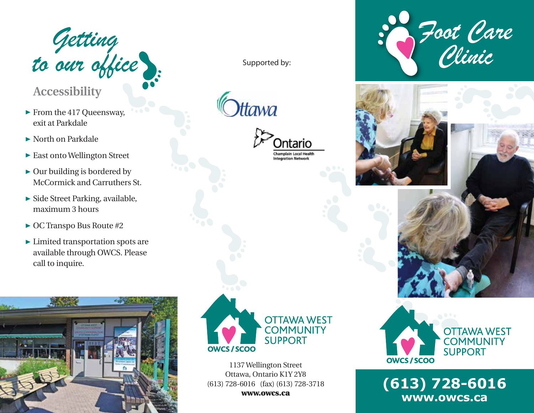

## **Accessibility**

- ▶ From the 417 Queensway, exit at Parkdale
- North on Parkdale
- East onto Wellington Street
- $\triangleright$  Our building is bordered by McCormick and Carruthers St.
- $\blacktriangleright$  Side Street Parking, available, maximum 3 hours
- ► OC Transpo Bus Route #2
- Limited transportation spots are available through OWCS. Please call to inquire.



Supported by:

tawa





1137 Wellington Street Ottawa, Ontario K1Y 2Y8 (613) 728-6016 (fax) (613) 728-3718 www.owcs.ca









**(613) 728-6016 www.owcs.ca**